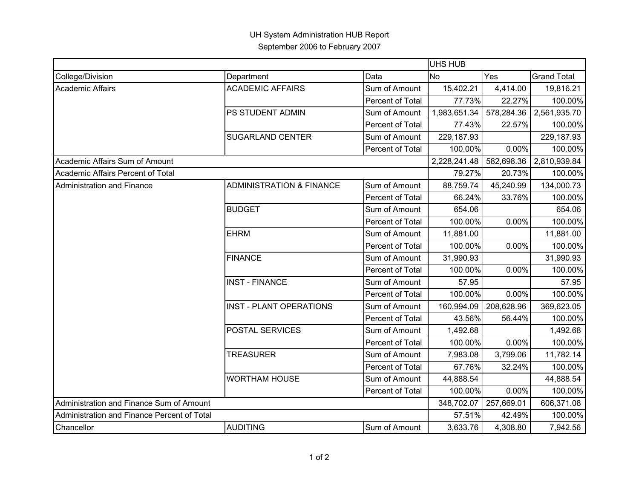|                                             |                                     |                  | <b>UHS HUB</b> |            |                    |  |
|---------------------------------------------|-------------------------------------|------------------|----------------|------------|--------------------|--|
| College/Division                            | Department                          | Data             | <b>No</b>      | Yes        | <b>Grand Total</b> |  |
| <b>Academic Affairs</b>                     | <b>ACADEMIC AFFAIRS</b>             | Sum of Amount    | 15,402.21      | 4,414.00   | 19,816.21          |  |
|                                             |                                     | Percent of Total | 77.73%         | 22.27%     | 100.00%            |  |
|                                             | PS STUDENT ADMIN                    | Sum of Amount    | 1,983,651.34   | 578,284.36 | 2,561,935.70       |  |
|                                             |                                     | Percent of Total | 77.43%         | 22.57%     | 100.00%            |  |
|                                             | <b>SUGARLAND CENTER</b>             | Sum of Amount    | 229,187.93     |            | 229,187.93         |  |
|                                             |                                     | Percent of Total | 100.00%        | 0.00%      | 100.00%            |  |
| Academic Affairs Sum of Amount              |                                     |                  | 2,228,241.48   | 582,698.36 | 2,810,939.84       |  |
| Academic Affairs Percent of Total           |                                     |                  | 79.27%         | 20.73%     | 100.00%            |  |
| Administration and Finance                  | <b>ADMINISTRATION &amp; FINANCE</b> | Sum of Amount    | 88,759.74      | 45,240.99  | 134,000.73         |  |
|                                             |                                     | Percent of Total | 66.24%         | 33.76%     | 100.00%            |  |
|                                             | <b>BUDGET</b>                       | Sum of Amount    | 654.06         |            | 654.06             |  |
|                                             |                                     | Percent of Total | 100.00%        | 0.00%      | 100.00%            |  |
|                                             | <b>EHRM</b>                         | Sum of Amount    | 11,881.00      |            | 11,881.00          |  |
|                                             |                                     | Percent of Total | 100.00%        | 0.00%      | 100.00%            |  |
|                                             | <b>FINANCE</b>                      | Sum of Amount    | 31,990.93      |            | 31,990.93          |  |
|                                             |                                     | Percent of Total | 100.00%        | 0.00%      | 100.00%            |  |
|                                             | <b>INST - FINANCE</b>               | Sum of Amount    | 57.95          |            | 57.95              |  |
|                                             |                                     | Percent of Total | 100.00%        | 0.00%      | 100.00%            |  |
|                                             | <b>INST - PLANT OPERATIONS</b>      | Sum of Amount    | 160,994.09     | 208,628.96 | 369,623.05         |  |
|                                             |                                     | Percent of Total | 43.56%         | 56.44%     | 100.00%            |  |
|                                             | POSTAL SERVICES                     | Sum of Amount    | 1,492.68       |            | 1,492.68           |  |
|                                             |                                     | Percent of Total | 100.00%        | 0.00%      | 100.00%            |  |
|                                             | <b>TREASURER</b>                    | Sum of Amount    | 7,983.08       | 3,799.06   | 11,782.14          |  |
|                                             |                                     | Percent of Total | 67.76%         | 32.24%     | 100.00%            |  |
|                                             | <b>WORTHAM HOUSE</b>                | Sum of Amount    | 44,888.54      |            | 44,888.54          |  |
|                                             |                                     | Percent of Total | 100.00%        | 0.00%      | 100.00%            |  |
| Administration and Finance Sum of Amount    |                                     |                  | 348,702.07     | 257,669.01 | 606,371.08         |  |
| Administration and Finance Percent of Total |                                     |                  | 57.51%         | 42.49%     | 100.00%            |  |
| Chancellor                                  | <b>AUDITING</b>                     | Sum of Amount    | 3,633.76       | 4,308.80   | 7,942.56           |  |